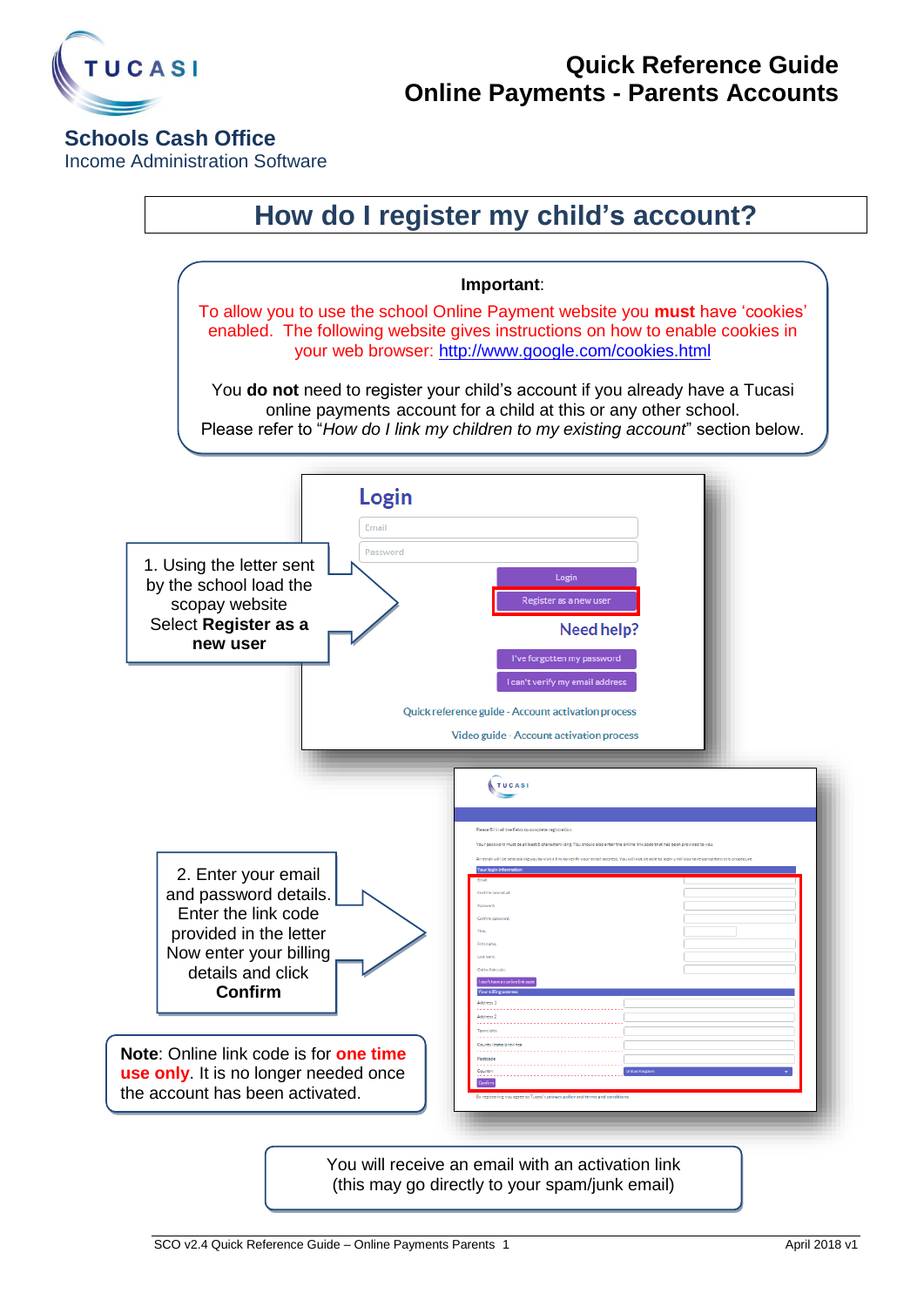

### **Schools Cash Office**

Income Administration Software

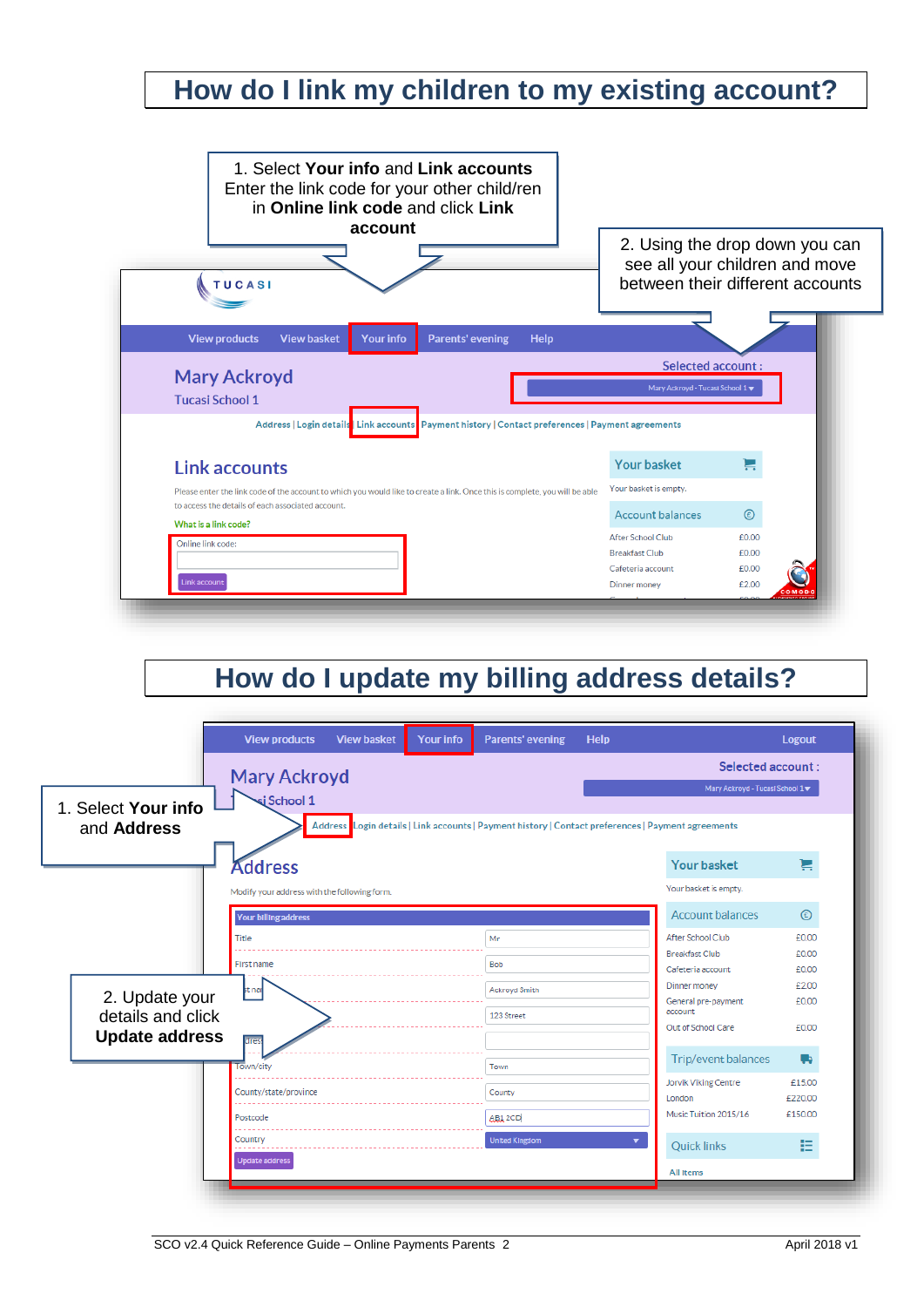## **How do I link my children to my existing account?**



# **How do I update my billing address details?**

|                                                              | <b>View products</b>                         | <b>View basket</b> | <b>Your info</b> | <b>Parents' evening</b>                                                                            | <b>Help</b> |                                                       | <b>Logout</b>  |  |
|--------------------------------------------------------------|----------------------------------------------|--------------------|------------------|----------------------------------------------------------------------------------------------------|-------------|-------------------------------------------------------|----------------|--|
|                                                              | <b>Mary Ackroyd</b><br>si School 1           |                    |                  |                                                                                                    |             | Selected account:                                     |                |  |
| 1. Select Your info                                          |                                              |                    |                  |                                                                                                    |             | Mary Ackroyd - Tucasi School 1                        |                |  |
| and Address                                                  |                                              |                    |                  | Address Login details   Link accounts   Payment history   Contact preferences   Payment agreements |             |                                                       |                |  |
|                                                              | <b>Address</b>                               |                    |                  |                                                                                                    |             | Your basket                                           | Н              |  |
|                                                              | Modify your address with the following form. |                    |                  |                                                                                                    |             | Your basket is empty.                                 |                |  |
|                                                              | <b>Your billing address</b>                  |                    |                  |                                                                                                    |             | Account balances                                      | $\odot$        |  |
|                                                              | Title                                        |                    |                  | Mr                                                                                                 |             | After School Club                                     | £0.00          |  |
|                                                              | First name                                   |                    |                  | <b>Bob</b>                                                                                         |             | <b>Breakfast Club</b><br>Cafeteria account            | £0.00<br>£0.00 |  |
| 2. Update your<br>details and click<br><b>Update address</b> | st nai                                       |                    |                  | <b>Ackroyd Smith</b>                                                                               |             | Dinner money<br>General pre-payment                   | £2.00<br>£0.00 |  |
|                                                              |                                              |                    |                  | 123 Street                                                                                         |             | account                                               |                |  |
|                                                              | dres                                         |                    |                  |                                                                                                    |             | Out of School Care                                    | £0.00          |  |
|                                                              | Town/city                                    |                    |                  | Town                                                                                               |             | Trip/event balances<br>Jorvik Viking Centre<br>London |                |  |
|                                                              | County/state/province                        |                    |                  | County                                                                                             |             |                                                       |                |  |
|                                                              | Postcode                                     |                    |                  | AB12CD                                                                                             |             | £150.00                                               |                |  |
|                                                              | Country                                      |                    |                  | <b>United Kingdom</b>                                                                              |             | <b>Quick links</b>                                    | 挂              |  |
|                                                              | <b>Update address</b>                        |                    |                  |                                                                                                    |             | <b>All Items</b>                                      |                |  |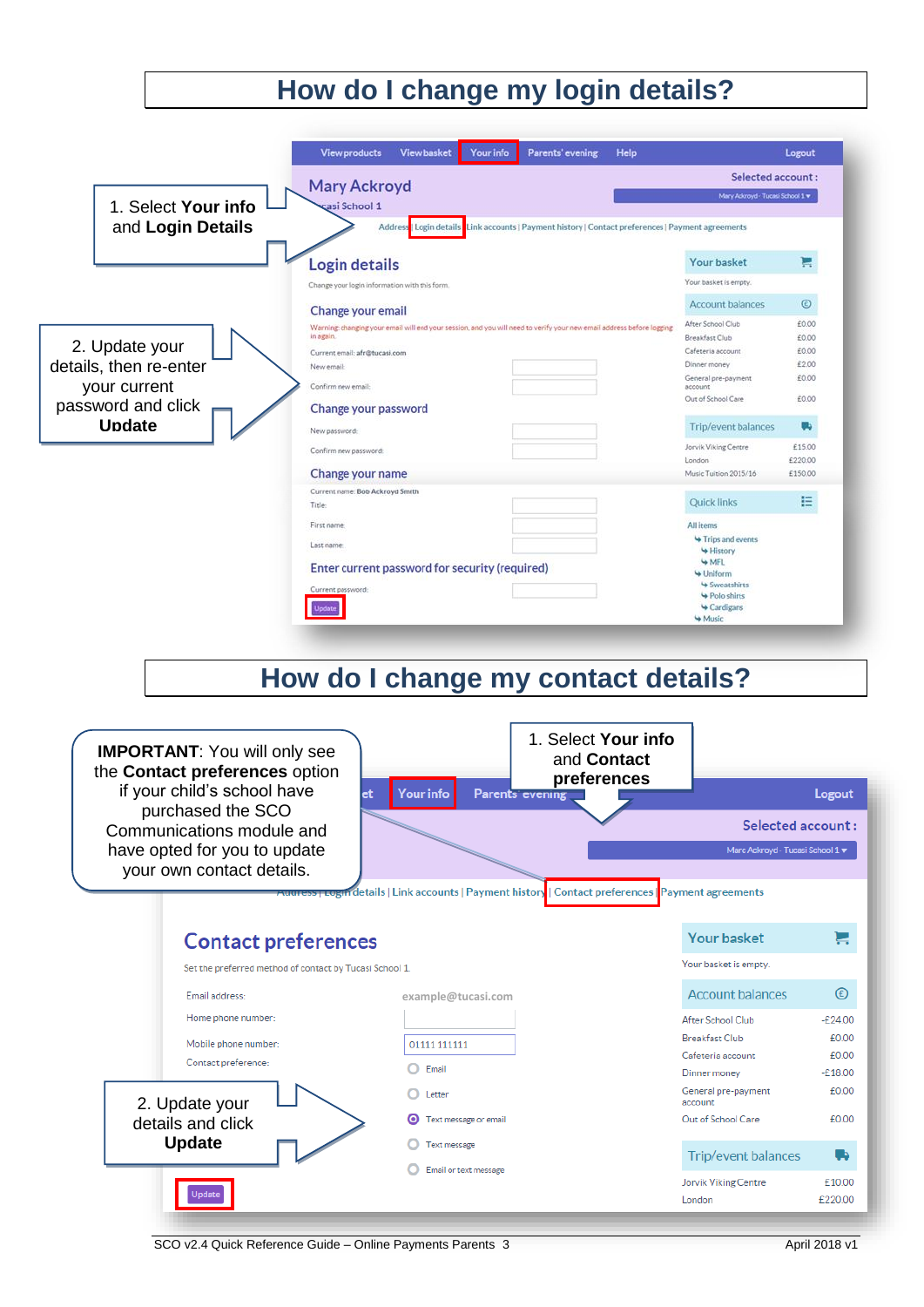#### **How do I change my login details? View products** View basket **Your info** Parents' evening Help Logout Selected account: **Mary Ackroyd** Mary Ackroyd - Tucasi School 1 w 1. Select **Your info** asi School 1 and **Login Details** Login details Link accounts | Payment history | Contact preferences | Payment agreements **Login details** Your basket Ħ Your basket is empty. Change your login information with this form  $\odot$ Account balances Change your email Critering changing your Criteria<br>Warning changing your email will end your session, and you will need to verify your new email address before logging<br>In again. After School Club  $6000$  $6000$ **Breakfast Club** 2. Update your £0.00 Current email: afr@tucasi.com Cafeteria account details, then re-enter Dinner money £2.00 New email: General pre-payment 60.00 your current Confirm new email: Out of School Care £0.00 password and click Change your password **Update** Trip/event balances u, New password Jorvik Viking Centre £15.00 Confirm new password: London £220.00 Music Tuition 2015/16 Change your name £150.00 Current name: Bob Ackroyd Smith **Quick links** 目 Title First name **All items** Trips and events Last name History **WMFL** Enter current password for security (required) Uniform Sweatshirts Current pass Polo shirts Update Cardigans Wusic

# **How do I change my contact details?**



SCO v2.4 Quick Reference Guide – Online Payments Parents 3 April 2018 v1